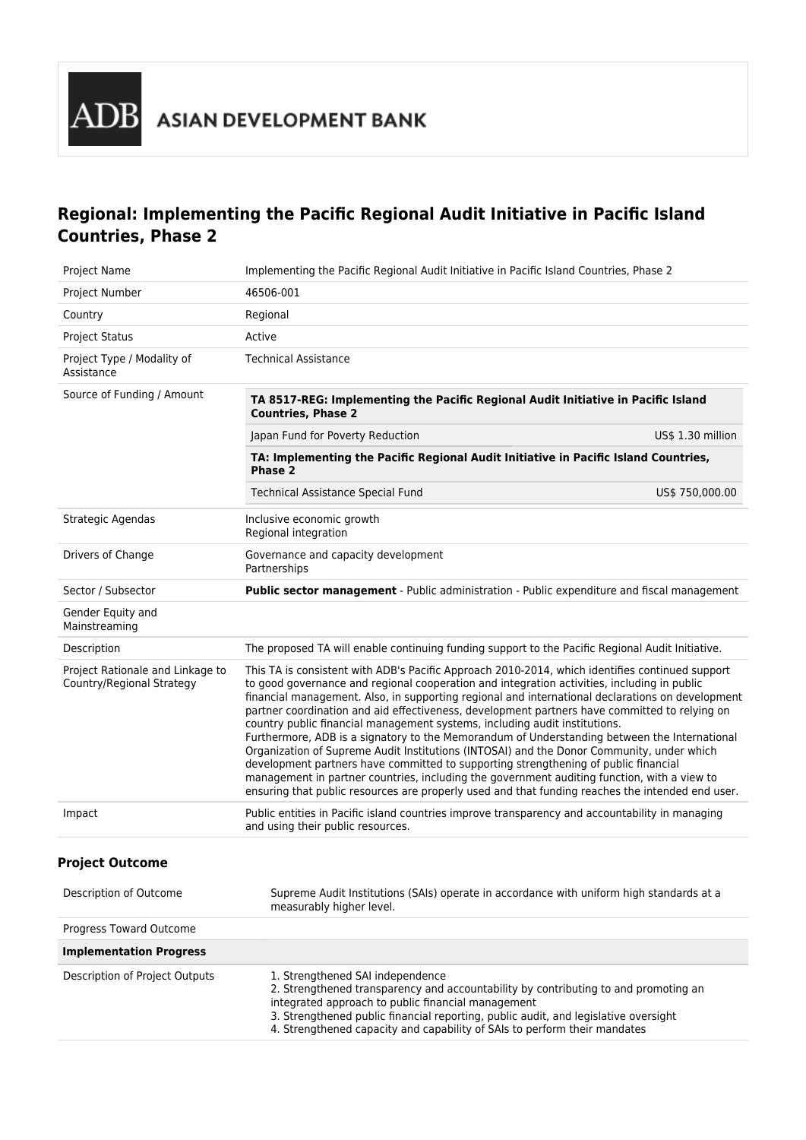

# **Regional: Implementing the Pacific Regional Audit Initiative in Pacific Island Countries, Phase 2**

| Project Name                                                  | Implementing the Pacific Regional Audit Initiative in Pacific Island Countries, Phase 2                                                                                                                                                                                                                                                                                                                                                                                                                                                                                                                                                                                                                                                                                                                                                                                                                                                                                  |                   |
|---------------------------------------------------------------|--------------------------------------------------------------------------------------------------------------------------------------------------------------------------------------------------------------------------------------------------------------------------------------------------------------------------------------------------------------------------------------------------------------------------------------------------------------------------------------------------------------------------------------------------------------------------------------------------------------------------------------------------------------------------------------------------------------------------------------------------------------------------------------------------------------------------------------------------------------------------------------------------------------------------------------------------------------------------|-------------------|
| Project Number                                                | 46506-001                                                                                                                                                                                                                                                                                                                                                                                                                                                                                                                                                                                                                                                                                                                                                                                                                                                                                                                                                                |                   |
| Country                                                       | Regional                                                                                                                                                                                                                                                                                                                                                                                                                                                                                                                                                                                                                                                                                                                                                                                                                                                                                                                                                                 |                   |
| <b>Project Status</b>                                         | Active                                                                                                                                                                                                                                                                                                                                                                                                                                                                                                                                                                                                                                                                                                                                                                                                                                                                                                                                                                   |                   |
| Project Type / Modality of<br>Assistance                      | <b>Technical Assistance</b>                                                                                                                                                                                                                                                                                                                                                                                                                                                                                                                                                                                                                                                                                                                                                                                                                                                                                                                                              |                   |
| Source of Funding / Amount                                    | TA 8517-REG: Implementing the Pacific Regional Audit Initiative in Pacific Island<br><b>Countries, Phase 2</b>                                                                                                                                                                                                                                                                                                                                                                                                                                                                                                                                                                                                                                                                                                                                                                                                                                                           |                   |
|                                                               | Japan Fund for Poverty Reduction                                                                                                                                                                                                                                                                                                                                                                                                                                                                                                                                                                                                                                                                                                                                                                                                                                                                                                                                         | US\$ 1.30 million |
|                                                               | TA: Implementing the Pacific Regional Audit Initiative in Pacific Island Countries,<br>Phase 2                                                                                                                                                                                                                                                                                                                                                                                                                                                                                                                                                                                                                                                                                                                                                                                                                                                                           |                   |
|                                                               | <b>Technical Assistance Special Fund</b>                                                                                                                                                                                                                                                                                                                                                                                                                                                                                                                                                                                                                                                                                                                                                                                                                                                                                                                                 | US\$ 750,000.00   |
| Strategic Agendas                                             | Inclusive economic growth<br>Regional integration                                                                                                                                                                                                                                                                                                                                                                                                                                                                                                                                                                                                                                                                                                                                                                                                                                                                                                                        |                   |
| Drivers of Change                                             | Governance and capacity development<br>Partnerships                                                                                                                                                                                                                                                                                                                                                                                                                                                                                                                                                                                                                                                                                                                                                                                                                                                                                                                      |                   |
| Sector / Subsector                                            | <b>Public sector management</b> - Public administration - Public expenditure and fiscal management                                                                                                                                                                                                                                                                                                                                                                                                                                                                                                                                                                                                                                                                                                                                                                                                                                                                       |                   |
| Gender Equity and<br>Mainstreaming                            |                                                                                                                                                                                                                                                                                                                                                                                                                                                                                                                                                                                                                                                                                                                                                                                                                                                                                                                                                                          |                   |
| Description                                                   | The proposed TA will enable continuing funding support to the Pacific Regional Audit Initiative.                                                                                                                                                                                                                                                                                                                                                                                                                                                                                                                                                                                                                                                                                                                                                                                                                                                                         |                   |
| Project Rationale and Linkage to<br>Country/Regional Strategy | This TA is consistent with ADB's Pacific Approach 2010-2014, which identifies continued support<br>to good governance and regional cooperation and integration activities, including in public<br>financial management. Also, in supporting regional and international declarations on development<br>partner coordination and aid effectiveness, development partners have committed to relying on<br>country public financial management systems, including audit institutions.<br>Furthermore, ADB is a signatory to the Memorandum of Understanding between the International<br>Organization of Supreme Audit Institutions (INTOSAI) and the Donor Community, under which<br>development partners have committed to supporting strengthening of public financial<br>management in partner countries, including the government auditing function, with a view to<br>ensuring that public resources are properly used and that funding reaches the intended end user. |                   |
| Impact                                                        | Public entities in Pacific island countries improve transparency and accountability in managing<br>and using their public resources.                                                                                                                                                                                                                                                                                                                                                                                                                                                                                                                                                                                                                                                                                                                                                                                                                                     |                   |
| <b>Project Outcome</b>                                        |                                                                                                                                                                                                                                                                                                                                                                                                                                                                                                                                                                                                                                                                                                                                                                                                                                                                                                                                                                          |                   |
| Description of Outcome                                        | Supreme Audit Institutions (SAIs) operate in accordance with uniform high standards at a<br>measurably higher level.                                                                                                                                                                                                                                                                                                                                                                                                                                                                                                                                                                                                                                                                                                                                                                                                                                                     |                   |
| Progress Toward Outcome                                       |                                                                                                                                                                                                                                                                                                                                                                                                                                                                                                                                                                                                                                                                                                                                                                                                                                                                                                                                                                          |                   |
| <b>Implementation Progress</b>                                |                                                                                                                                                                                                                                                                                                                                                                                                                                                                                                                                                                                                                                                                                                                                                                                                                                                                                                                                                                          |                   |
| Description of Project Outputs                                | 1. Strengthened SAI independence<br>2. Strengthened transparency and accountability by contributing to and promoting an<br>integrated approach to public financial management<br>3. Strengthened public financial reporting, public audit, and legislative oversight<br>4. Strengthened capacity and capability of SAIs to perform their mandates                                                                                                                                                                                                                                                                                                                                                                                                                                                                                                                                                                                                                        |                   |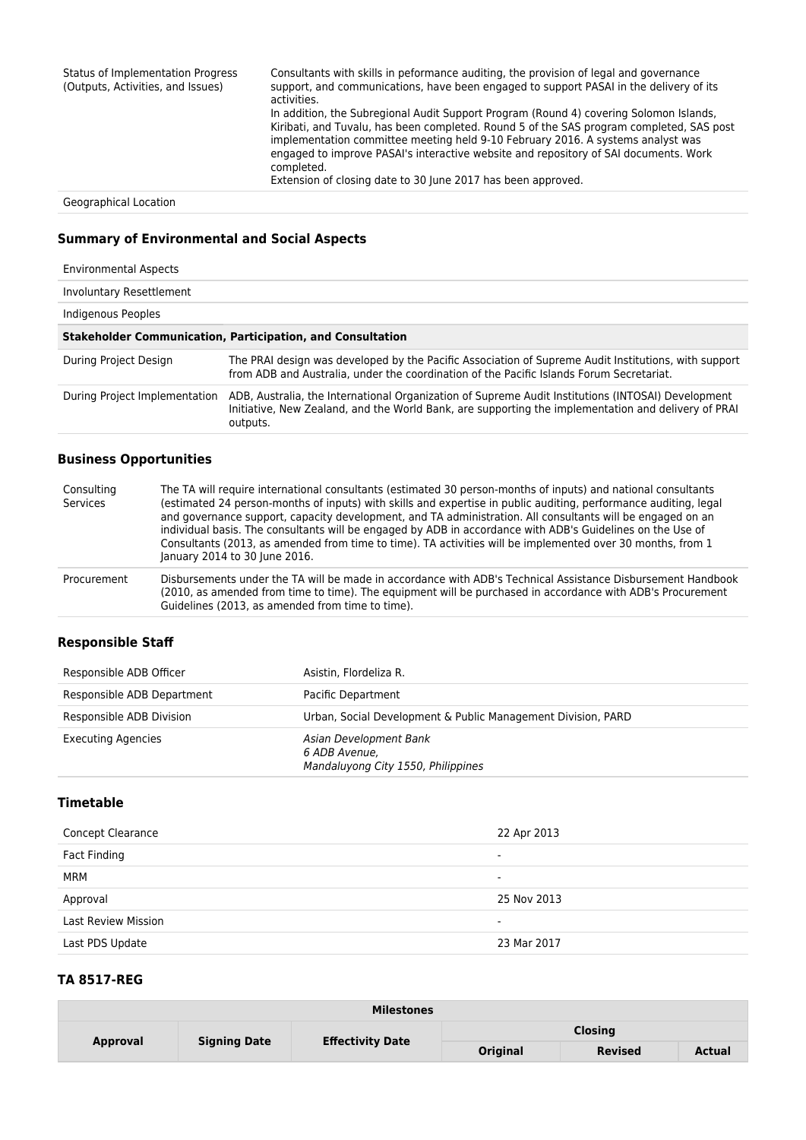| <b>Status of Implementation Progress</b><br>(Outputs, Activities, and Issues) | Consultants with skills in peformance auditing, the provision of legal and governance<br>support, and communications, have been engaged to support PASAI in the delivery of its<br>activities.<br>In addition, the Subregional Audit Support Program (Round 4) covering Solomon Islands,<br>Kiribati, and Tuvalu, has been completed. Round 5 of the SAS program completed, SAS post<br>implementation committee meeting held 9-10 February 2016. A systems analyst was<br>engaged to improve PASAI's interactive website and repository of SAI documents. Work<br>completed.<br>Extension of closing date to 30 June 2017 has been approved. |
|-------------------------------------------------------------------------------|-----------------------------------------------------------------------------------------------------------------------------------------------------------------------------------------------------------------------------------------------------------------------------------------------------------------------------------------------------------------------------------------------------------------------------------------------------------------------------------------------------------------------------------------------------------------------------------------------------------------------------------------------|
| Geographical Location                                                         |                                                                                                                                                                                                                                                                                                                                                                                                                                                                                                                                                                                                                                               |

# **Summary of Environmental and Social Aspects**

| <b>Environmental Aspects</b>  |                                                                                                                                                                                                                       |
|-------------------------------|-----------------------------------------------------------------------------------------------------------------------------------------------------------------------------------------------------------------------|
| Involuntary Resettlement      |                                                                                                                                                                                                                       |
| Indigenous Peoples            |                                                                                                                                                                                                                       |
|                               | <b>Stakeholder Communication, Participation, and Consultation</b>                                                                                                                                                     |
| During Project Design         | The PRAI design was developed by the Pacific Association of Supreme Audit Institutions, with support<br>from ADB and Australia, under the coordination of the Pacific Islands Forum Secretariat.                      |
| During Project Implementation | ADB, Australia, the International Organization of Supreme Audit Institutions (INTOSAI) Development<br>Initiative, New Zealand, and the World Bank, are supporting the implementation and delivery of PRAI<br>outputs. |

# **Business Opportunities**

| Consulting<br>Services | The TA will require international consultants (estimated 30 person-months of inputs) and national consultants<br>(estimated 24 person-months of inputs) with skills and expertise in public auditing, performance auditing, legal<br>and governance support, capacity development, and TA administration. All consultants will be engaged on an<br>individual basis. The consultants will be engaged by ADB in accordance with ADB's Guidelines on the Use of<br>Consultants (2013, as amended from time to time). TA activities will be implemented over 30 months, from 1<br>January 2014 to 30 June 2016. |
|------------------------|--------------------------------------------------------------------------------------------------------------------------------------------------------------------------------------------------------------------------------------------------------------------------------------------------------------------------------------------------------------------------------------------------------------------------------------------------------------------------------------------------------------------------------------------------------------------------------------------------------------|
| Procurement            | Disbursements under the TA will be made in accordance with ADB's Technical Assistance Disbursement Handbook<br>(2010, as amended from time to time). The equipment will be purchased in accordance with ADB's Procurement<br>Guidelines (2013, as amended from time to time).                                                                                                                                                                                                                                                                                                                                |

## **Responsible Staff**

| Responsible ADB Officer    | Asistin, Flordeliza R.                                                        |
|----------------------------|-------------------------------------------------------------------------------|
| Responsible ADB Department | Pacific Department                                                            |
| Responsible ADB Division   | Urban, Social Development & Public Management Division, PARD                  |
| <b>Executing Agencies</b>  | Asian Development Bank<br>6 ADB Avenue.<br>Mandaluyong City 1550, Philippines |

#### **Timetable**

| Concept Clearance          | 22 Apr 2013 |
|----------------------------|-------------|
| Fact Finding               | ۰           |
| MRM                        | -           |
| Approval                   | 25 Nov 2013 |
| <b>Last Review Mission</b> | -           |
| Last PDS Update            | 23 Mar 2017 |

### **TA 8517-REG**

| <b>Milestones</b> |                     |                         |                 |                |               |
|-------------------|---------------------|-------------------------|-----------------|----------------|---------------|
| Approval          | <b>Signing Date</b> | <b>Effectivity Date</b> | <b>Closing</b>  |                |               |
|                   |                     |                         | <b>Original</b> | <b>Revised</b> | <b>Actual</b> |